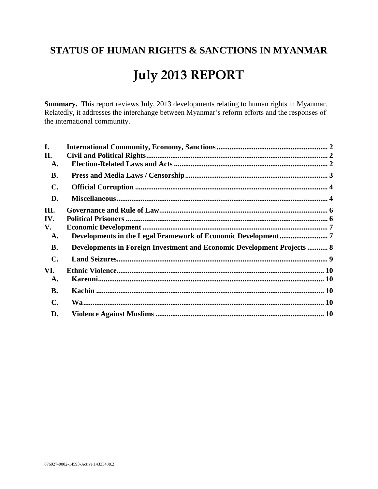# STATUS OF HUMAN RIGHTS & SANCTIONS IN MYANMAR **July 2013 REPORT**

Summary. This report reviews July, 2013 developments relating to human rights in Myanmar. Relatedly, it addresses the interchange between Myanmar's reform efforts and the responses of the international community.

| I.             |                                                                                |  |
|----------------|--------------------------------------------------------------------------------|--|
| П.             |                                                                                |  |
| A.             |                                                                                |  |
| <b>B.</b>      |                                                                                |  |
| $\mathbf{C}$ . |                                                                                |  |
| D.             |                                                                                |  |
| III.           |                                                                                |  |
| IV.            |                                                                                |  |
| V.             |                                                                                |  |
| A.             |                                                                                |  |
| <b>B.</b>      | <b>Developments in Foreign Investment and Economic Development Projects  8</b> |  |
| $\mathbf{C}$ . |                                                                                |  |
| VI.            |                                                                                |  |
| A.             |                                                                                |  |
| <b>B.</b>      |                                                                                |  |
| $\mathbf{C}$ . |                                                                                |  |
| D.             |                                                                                |  |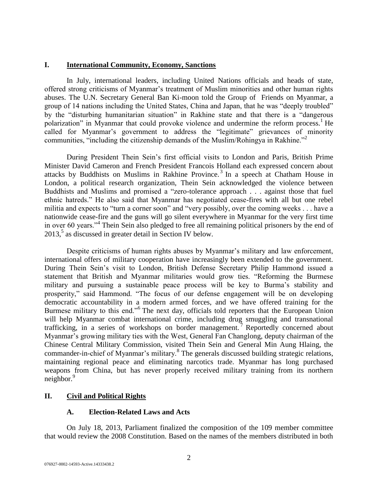# <span id="page-1-0"></span>**I. International Community, Economy, Sanctions**

In July, international leaders, including United Nations officials and heads of state, offered strong criticisms of Myanmar's treatment of Muslim minorities and other human rights abuses. The U.N. Secretary General Ban Ki-moon told the Group of Friends on Myanmar, a group of 14 nations including the United States, China and Japan, that he was "deeply troubled" by the "disturbing humanitarian situation" in Rakhine state and that there is a "dangerous polarization" in Myanmar that could provoke violence and undermine the reform process.<sup>1</sup> He called for Myanmar's government to address the "legitimate" grievances of minority communities, "including the citizenship demands of the Muslim/Rohingya in Rakhine."<sup>2</sup>

During President Thein Sein's first official visits to London and Paris, British Prime Minister David Cameron and French President Francois Holland each expressed concern about attacks by Buddhists on Muslims in Rakhine Province.<sup>3</sup> In a speech at Chatham House in London, a political research organization, Thein Sein acknowledged the violence between Buddhists and Muslims and promised a "zero-tolerance approach . . . against those that fuel ethnic hatreds." He also said that Myanmar has negotiated cease-fires with all but one rebel militia and expects to "turn a corner soon" and "very possibly, over the coming weeks . . . have a nationwide cease-fire and the guns will go silent everywhere in Myanmar for the very first time in over 60 years."<sup>4</sup> Thein Sein also pledged to free all remaining political prisoners by the end of 2013,<sup>5</sup> as discussed in greater detail in Section IV below.

Despite criticisms of human rights abuses by Myanmar's military and law enforcement, international offers of military cooperation have increasingly been extended to the government. During Thein Sein's visit to London, British Defense Secretary Philip Hammond issued a statement that British and Myanmar militaries would grow ties. "Reforming the Burmese military and pursuing a sustainable peace process will be key to Burma's stability and prosperity," said Hammond. "The focus of our defense engagement will be on developing democratic accountability in a modern armed forces, and we have offered training for the Burmese military to this end."<sup>6</sup> The next day, officials told reporters that the European Union will help Myanmar combat international crime, including drug smuggling and transnational trafficking, in a series of workshops on border management.<sup>7</sup> Reportedly concerned about Myanmar's growing military ties with the West, General Fan Changlong, deputy chairman of the Chinese Central Military Commission, visited Thein Sein and General Min Aung Hlaing, the commander-in-chief of Myanmar's military.<sup>8</sup> The generals discussed building strategic relations, maintaining regional peace and eliminating narcotics trade. Myanmar has long purchased weapons from China, but has never properly received military training from its northern neighbor. $9$ 

# <span id="page-1-2"></span><span id="page-1-1"></span>**II. Civil and Political Rights**

# **A. Election-Related Laws and Acts**

On July 18, 2013, Parliament finalized the composition of the 109 member committee that would review the 2008 Constitution. Based on the names of the members distributed in both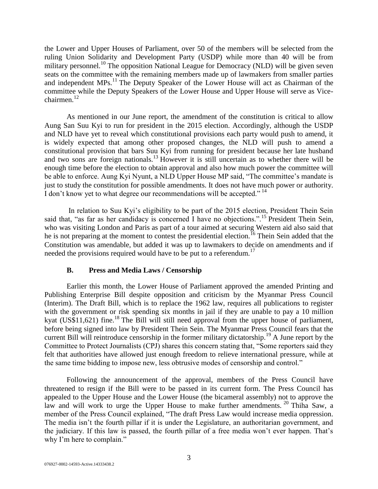the Lower and Upper Houses of Parliament, over 50 of the members will be selected from the ruling Union Solidarity and Development Party (USDP) while more than 40 will be from military personnel.<sup>10</sup> The opposition National League for Democracy (NLD) will be given seven seats on the committee with the remaining members made up of lawmakers from smaller parties and independent MPs.<sup>11</sup> The Deputy Speaker of the Lower House will act as Chairman of the committee while the Deputy Speakers of the Lower House and Upper House will serve as Vicechairmen. $12$ 

As mentioned in our June report, the amendment of the constitution is critical to allow Aung San Suu Kyi to run for president in the 2015 election. Accordingly, although the USDP and NLD have yet to reveal which constitutional provisions each party would push to amend, it is widely expected that among other proposed changes, the NLD will push to amend a constitutional provision that bars Suu Kyi from running for president because her late husband and two sons are foreign nationals.<sup>13</sup> However it is still uncertain as to whether there will be enough time before the election to obtain approval and also how much power the committee will be able to enforce. Aung Kyi Nyunt, a NLD Upper House MP said, "The committee's mandate is just to study the constitution for possible amendments. It does not have much power or authority. I don't know yet to what degree our recommendations will be accepted."<sup>14</sup>

In relation to Suu Kyi's eligibility to be part of the 2015 election, President Thein Sein said that, "as far as her candidacy is concerned I have no objections.".<sup>15</sup> President Thein Sein, who was visiting London and Paris as part of a tour aimed at securing Western aid also said that he is not preparing at the moment to contest the presidential election.<sup>16</sup> Thein Sein added that the Constitution was amendable, but added it was up to lawmakers to decide on amendments and if needed the provisions required would have to be put to a referendum.<sup>17</sup>

#### **B. Press and Media Laws / Censorship**

<span id="page-2-0"></span>Earlier this month, the Lower House of Parliament approved the amended Printing and Publishing Enterprise Bill despite opposition and criticism by the Myanmar Press Council (Interim). The Draft Bill, which is to replace the 1962 law, requires all publications to register with the government or risk spending six months in jail if they are unable to pay a 10 million kyat (US\$11,621) fine.<sup>18</sup> The Bill will still need approval from the upper house of parliament, before being signed into law by President Thein Sein. The Myanmar Press Council fears that the current Bill will reintroduce censorship in the former military dictatorship.<sup>19</sup> A June report by the Committee to Protect Journalists (CPJ) shares this concern stating that, "Some reporters said they felt that authorities have allowed just enough freedom to relieve international pressure, while at the same time bidding to impose new, less obtrusive modes of censorship and control."

Following the announcement of the approval, members of the Press Council have threatened to resign if the Bill were to be passed in its current form. The Press Council has appealed to the Upper House and the Lower House (the bicameral assembly) not to approve the law and will work to urge the Upper House to make further amendments.  $^{20}$  Thiha Saw, a member of the Press Council explained, "The draft Press Law would increase media oppression. The media isn't the fourth pillar if it is under the Legislature, an authoritarian government, and the judiciary. If this law is passed, the fourth pillar of a free media won't ever happen. That's why I'm here to complain."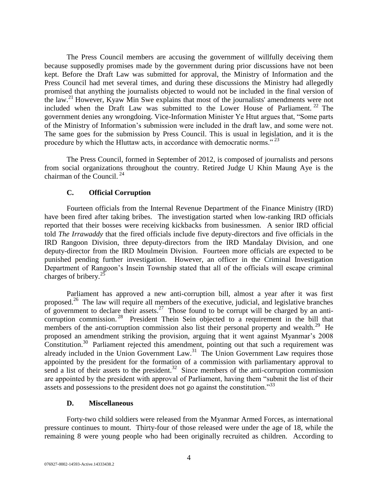The Press Council members are accusing the government of willfully deceiving them because supposedly promises made by the government during prior discussions have not been kept. Before the Draft Law was submitted for approval, the Ministry of Information and the Press Council had met several times, and during these discussions the Ministry had allegedly promised that anything the journalists objected to would not be included in the final version of the law.<sup>21</sup> However, Kyaw Min Swe explains that most of the journalists' amendments were not included when the Draft Law was submitted to the Lower House of Parliament.<sup>22</sup> The government denies any wrongdoing. Vice-Information Minister Ye Htut argues that, "Some parts of the Ministry of Information's submission were included in the draft law, and some were not. The same goes for the submission by Press Council. This is usual in legislation, and it is the procedure by which the Hluttaw acts, in accordance with democratic norms."<sup>23</sup>

The Press Council, formed in September of 2012, is composed of journalists and persons from social organizations throughout the country. Retired Judge U Khin Maung Aye is the chairman of the Council. <sup>24</sup>

# **C. Official Corruption**

<span id="page-3-0"></span>Fourteen officials from the Internal Revenue Department of the Finance Ministry (IRD) have been fired after taking bribes. The investigation started when low-ranking IRD officials reported that their bosses were receiving kickbacks from businessmen. A senior IRD official told *The Irrawaddy* that the fired officials include five deputy-directors and five officials in the IRD Rangoon Division, three deputy-directors from the IRD Mandalay Division, and one deputy-director from the IRD Moulmein Division. Fourteen more officials are expected to be punished pending further investigation. However, an officer in the Criminal Investigation Department of Rangoon's Insein Township stated that all of the officials will escape criminal charges of bribery.<sup>25</sup>

Parliament has approved a new anti-corruption bill, almost a year after it was first proposed.<sup>26</sup> The law will require all members of the executive, judicial, and legislative branches of government to declare their assets.<sup>27</sup> Those found to be corrupt will be charged by an anticorruption commission.<sup>28</sup> President Thein Sein objected to a requirement in the bill that members of the anti-corruption commission also list their personal property and wealth.<sup>29</sup> He proposed an amendment striking the provision, arguing that it went against Myanmar's 2008 Constitution.<sup>30</sup> Parliament rejected this amendment, pointing out that such a requirement was already included in the Union Government Law.<sup>31</sup> The Union Government Law requires those appointed by the president for the formation of a commission with parliamentary approval to send a list of their assets to the president.<sup>32</sup> Since members of the anti-corruption commission are appointed by the president with approval of Parliament, having them "submit the list of their assets and possessions to the president does not go against the constitution.<sup>33</sup>

## **D. Miscellaneous**

<span id="page-3-1"></span>Forty-two child soldiers were released from the Myanmar Armed Forces, as international pressure continues to mount. Thirty-four of those released were under the age of 18, while the remaining 8 were young people who had been originally recruited as children. According to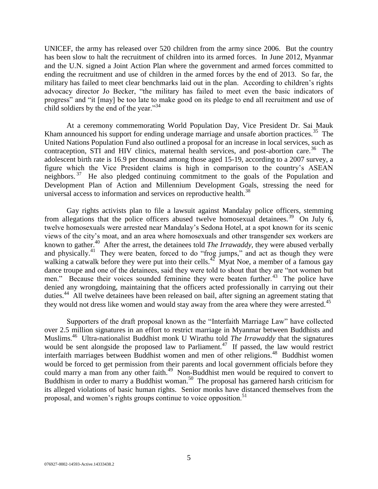UNICEF, the army has released over 520 children from the army since 2006. But the country has been slow to halt the recruitment of children into its armed forces. In June 2012, Myanmar and the U.N. signed a Joint Action Plan where the government and armed forces committed to ending the recruitment and use of children in the armed forces by the end of 2013. So far, the military has failed to meet clear benchmarks laid out in the plan. According to children's rights advocacy director Jo Becker, "the military has failed to meet even the basic indicators of progress" and "it [may] be too late to make good on its pledge to end all recruitment and use of child soldiers by the end of the year."<sup>34</sup>

At a ceremony commemorating World Population Day, Vice President Dr. Sai Mauk Kham announced his support for ending underage marriage and unsafe abortion practices.<sup>35</sup> The United Nations Population Fund also outlined a proposal for an increase in local services, such as contraception, STI and HIV clinics, maternal health services, and post-abortion care.<sup>36</sup> The adolescent birth rate is 16.9 per thousand among those aged 15-19, according to a 2007 survey, a figure which the Vice President claims is high in comparison to the country's ASEAN neighbors.<sup>37</sup> He also pledged continuing commitment to the goals of the Population and Development Plan of Action and Millennium Development Goals, stressing the need for universal access to information and services on reproductive health.<sup>38</sup>

Gay rights activists plan to file a lawsuit against Mandalay police officers, stemming from allegations that the police officers abused twelve homosexual detainees.<sup>39</sup> On July 6, twelve homosexuals were arrested near Mandalay's Sedona Hotel, at a spot known for its scenic views of the city's moat, and an area where homosexuals and other transgender sex workers are known to gather.<sup>40</sup> After the arrest, the detainees told *The Irrawaddy*, they were abused verbally and physically.<sup>41</sup> They were beaten, forced to do "frog jumps," and act as though they were walking a catwalk before they were put into their cells.<sup>42</sup> Myat Noe, a member of a famous gay dance troupe and one of the detainees, said they were told to shout that they are "not women but men." Because their voices sounded feminine they were beaten further.<sup>43</sup> The police have denied any wrongdoing, maintaining that the officers acted professionally in carrying out their duties.<sup>44</sup> All twelve detainees have been released on bail, after signing an agreement stating that they would not dress like women and would stay away from the area where they were arrested.<sup>45</sup>

Supporters of the draft proposal known as the "Interfaith Marriage Law" have collected over 2.5 million signatures in an effort to restrict marriage in Myanmar between Buddhists and Muslims.<sup>46</sup> Ultra-nationalist Buddhist monk U Wirathu told *The Irrawaddy* that the signatures would be sent alongside the proposed law to Parliament.<sup>47</sup> If passed, the law would restrict interfaith marriages between Buddhist women and men of other religions.<sup>48</sup> Buddhist women would be forced to get permission from their parents and local government officials before they could marry a man from any other faith.<sup>49</sup> Non-Buddhist men would be required to convert to Buddhism in order to marry a Buddhist woman.<sup>50</sup> The proposal has garnered harsh criticism for its alleged violations of basic human rights. Senior monks have distanced themselves from the proposal, and women's rights groups continue to voice opposition.<sup>51</sup>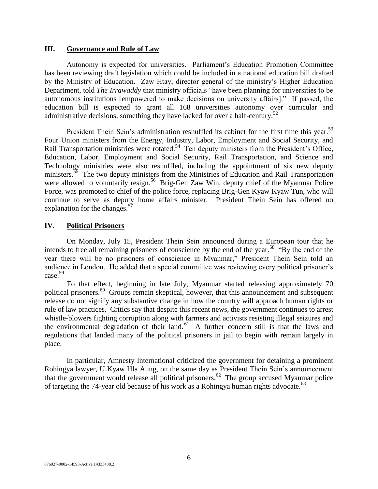#### <span id="page-5-0"></span>**III. Governance and Rule of Law**

Autonomy is expected for universities. Parliament's Education Promotion Committee has been reviewing draft legislation which could be included in a national education bill drafted by the Ministry of Education. Zaw Htay, director general of the ministry's Higher Education Department, told *The Irrawaddy* that ministry officials "have been planning for universities to be autonomous institutions [empowered to make decisions on university affairs]." If passed, the education bill is expected to grant all 168 universities autonomy over curricular and administrative decisions, something they have lacked for over a half-century.<sup>52</sup>

President Thein Sein's administration reshuffled its cabinet for the first time this year.<sup>53</sup> Four Union ministers from the Energy, Industry, Labor, Employment and Social Security, and Rail Transportation ministries were rotated.<sup>54</sup> Ten deputy ministers from the President's Office, Education, Labor, Employment and Social Security, Rail Transportation, and Science and Technology ministries were also reshuffled, including the appointment of six new deputy ministers.<sup>35</sup> The two deputy ministers from the Ministries of Education and Rail Transportation were allowed to voluntarily resign.<sup>56</sup> Brig-Gen Zaw Win, deputy chief of the Myanmar Police Force, was promoted to chief of the police force, replacing Brig-Gen Kyaw Kyaw Tun, who will continue to serve as deputy home affairs minister. President Thein Sein has offered no explanation for the changes.<sup>57</sup>

#### <span id="page-5-1"></span>**IV. Political Prisoners**

On Monday, July 15, President Thein Sein announced during a European tour that he intends to free all remaining prisoners of conscience by the end of the year.<sup>58 "By</sup> the end of the year there will be no prisoners of conscience in Myanmar," President Thein Sein told an audience in London. He added that a special committee was reviewing every political prisoner's case.<sup>59</sup>

To that effect, beginning in late July, Myanmar started releasing approximately 70 political prisoners.<sup>60</sup> Groups remain skeptical, however, that this announcement and subsequent release do not signify any substantive change in how the country will approach human rights or rule of law practices. Critics say that despite this recent news, the government continues to arrest whistle-blowers fighting corruption along with farmers and activists resisting illegal seizures and the environmental degradation of their land.<sup>61</sup> A further concern still is that the laws and regulations that landed many of the political prisoners in jail to begin with remain largely in place.

In particular, Amnesty International criticized the government for detaining a prominent Rohingya lawyer, U Kyaw Hla Aung, on the same day as President Thein Sein's announcement that the government would release all political prisoners.<sup>62</sup> The group accused Myanmar police of targeting the 74-year old because of his work as a Rohingya human rights advocate.<sup>63</sup>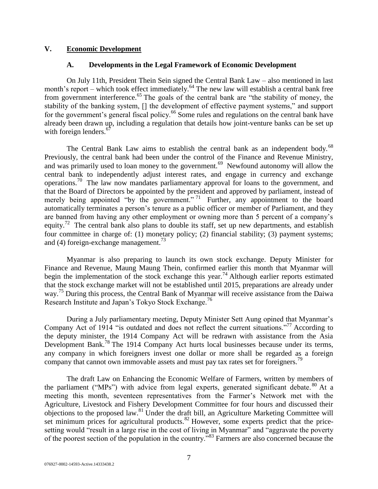#### <span id="page-6-1"></span><span id="page-6-0"></span>**V. Economic Development**

#### **A. Developments in the Legal Framework of Economic Development**

On July 11th, President Thein Sein signed the Central Bank Law – also mentioned in last month's report – which took effect immediately.<sup>64</sup> The new law will establish a central bank free from government interference.<sup>65</sup> The goals of the central bank are "the stability of money, the stability of the banking system, [] the development of effective payment systems," and support for the government's general fiscal policy.<sup>66</sup> Some rules and regulations on the central bank have already been drawn up, including a regulation that details how joint-venture banks can be set up with foreign lenders. $67$ 

The Central Bank Law aims to establish the central bank as an independent body.<sup>68</sup> Previously, the central bank had been under the control of the Finance and Revenue Ministry, and was primarily used to loan money to the government.<sup>69</sup> Newfound autonomy will allow the central bank to independently adjust interest rates, and engage in currency and exchange operations.<sup>70</sup> The law now mandates parliamentary approval for loans to the government, and that the Board of Directors be appointed by the president and approved by parliament, instead of merely being appointed "by the government." <sup>71</sup> Further, any appointment to the board automatically terminates a person's tenure as a public officer or member of Parliament, and they are banned from having any other employment or owning more than 5 percent of a company's equity.<sup>72</sup> The central bank also plans to double its staff, set up new departments, and establish four committee in charge of: (1) monetary policy; (2) financial stability; (3) payment systems; and (4) foreign-exchange management.<sup>73</sup>

Myanmar is also preparing to launch its own stock exchange. Deputy Minister for Finance and Revenue, Maung Maung Thein, confirmed earlier this month that Myanmar will begin the implementation of the stock exchange this year.<sup>74</sup> Although earlier reports estimated that the stock exchange market will not be established until 2015, preparations are already under way.<sup>75</sup> During this process, the Central Bank of Myanmar will receive assistance from the Daiwa Research Institute and Japan's Tokyo Stock Exchange.<sup>76</sup>

During a July parliamentary meeting, Deputy Minister Sett Aung opined that Myanmar's Company Act of 1914 "is outdated and does not reflect the current situations."<sup>77</sup> According to the deputy minister, the 1914 Company Act will be redrawn with assistance from the Asia Development Bank.<sup>78</sup> The 1914 Company Act hurts local businesses because under its terms, any company in which foreigners invest one dollar or more shall be regarded as a foreign company that cannot own immovable assets and must pay tax rates set for foreigners.<sup>79</sup>

The draft Law on Enhancing the Economic Welfare of Farmers, written by members of the parliament ("MPs") with advice from legal experts, generated significant debate. <sup>80</sup> At a meeting this month, seventeen representatives from the Farmer's Network met with the Agriculture, Livestock and Fishery Development Committee for four hours and discussed their objections to the proposed law.<sup>81</sup> Under the draft bill, an Agriculture Marketing Committee will set minimum prices for agricultural products. $82$  However, some experts predict that the pricesetting would "result in a large rise in the cost of living in Myanmar" and "aggravate the poverty of the poorest section of the population in the country."<sup>83</sup> Farmers are also concerned because the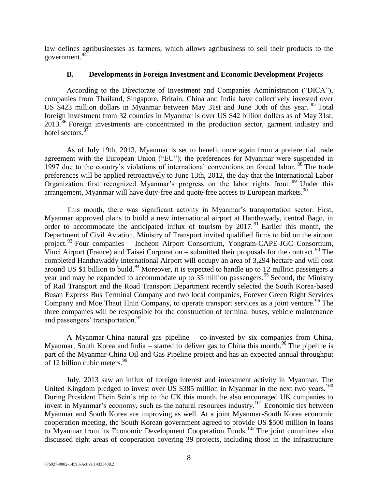law defines agribusinesses as farmers, which allows agribusiness to sell their products to the government.<sup>84</sup>

## **B. Developments in Foreign Investment and Economic Development Projects**

<span id="page-7-0"></span>According to the Directorate of Investment and Companies Administration ("DICA"), companies from Thailand, Singapore, Britain, China and India have collectively invested over US \$423 million dollars in Myanmar between May 31st and June 30th of this year. <sup>85</sup> Total foreign investment from 32 counties in Myanmar is over US \$42 billion dollars as of May 31st, 2013.<sup>86</sup> Foreign investments are concentrated in the production sector, garment industry and hotel sectors.<sup>87</sup>

As of July 19th, 2013, Myanmar is set to benefit once again from a preferential trade agreement with the European Union ("EU"); the preferences for Myanmar were suspended in 1997 due to the country's violations of international conventions on forced labor. <sup>88</sup> The trade preferences will be applied retroactively to June 13th, 2012, the day that the International Labor Organization first recognized Myanmar's progress on the labor rights front. <sup>89</sup> Under this arrangement, Myanmar will have duty-free and quote-free access to European markets.<sup>90</sup>

This month, there was significant activity in Myanmar's transportation sector. First, Myanmar approved plans to build a new international airport at Hanthawady, central Bago, in order to accommodate the anticipated influx of tourism by  $2017$ .<sup>91</sup> Earlier this month, the Department of Civil Aviation, Ministry of Transport invited qualified firms to bid on the airport project.<sup>92</sup> Four companies – Incheon Airport Consortium, Yongram-CAPE-JGC Consortium, Vinci Airport (France) and Taisei Corporation – submitted their proposals for the contract. <sup>93</sup> The completed Hanthawaddy International Airport will occupy an area of 3,294 hectare and will cost around US \$1 billion to build.<sup>94</sup> Moreover, it is expected to handle up to 12 million passengers a year and may be expanded to accommodate up to  $35$  million passengers.<sup>95</sup> Second, the Ministry of Rail Transport and the Road Transport Department recently selected the South Korea-based Busan Express Bus Terminal Company and two local companies, Forever Green Right Services Company and Moe Thaut Hnin Company, to operate transport services as a joint venture.<sup>96</sup> The three companies will be responsible for the construction of terminal buses, vehicle maintenance and passengers' transportation.<sup>97</sup>

A Myanmar-China natural gas pipeline – co-invested by six companies from China, Myanmar, South Korea and India – started to deliver gas to China this month.<sup>98</sup> The pipeline is part of the Myanmar-China Oil and Gas Pipeline project and has an expected annual throughput of 12 billion cubic meters.<sup>99</sup>

July, 2013 saw an influx of foreign interest and investment activity in Myanmar. The United Kingdom pledged to invest over US \$385 million in Myanmar in the next two years.<sup>100</sup> During President Thein Sein's trip to the UK this month, he also encouraged UK companies to invest in Myanmar's economy, such as the natural resources industry.<sup>101</sup> Economic ties between Myanmar and South Korea are improving as well. At a joint Myanmar-South Korea economic cooperation meeting, the South Korean government agreed to provide US \$500 million in loans to Myanmar from its Economic Development Cooperation Funds.<sup>102</sup> The joint committee also discussed eight areas of cooperation covering 39 projects, including those in the infrastructure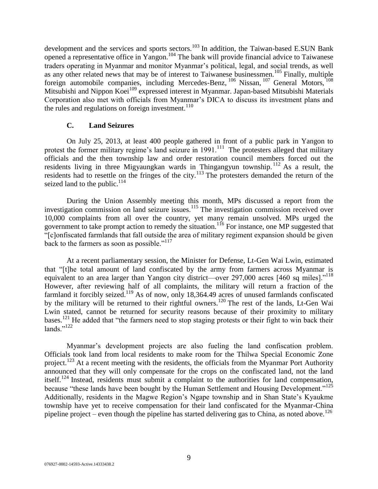development and the services and sports sectors.<sup>103</sup> In addition, the Taiwan-based E.SUN Bank opened a representative office in Yangon.<sup>104</sup> The bank will provide financial advice to Taiwanese traders operating in Myanmar and monitor Myanmar's political, legal, and social trends, as well as any other related news that may be of interest to Taiwanese businessmen.<sup>105</sup> Finally, multiple foreign automobile companies, including Mercedes-Benz, <sup>106</sup> Nissan, <sup>107</sup> General Motors, <sup>108</sup> Mitsubishi and Nippon Koei<sup>109</sup> expressed interest in Myanmar. Japan-based Mitsubishi Materials Corporation also met with officials from Myanmar's DICA to discuss its investment plans and the rules and regulations on foreign investment. $110$ 

#### **C. Land Seizures**

<span id="page-8-0"></span>On July 25, 2013, at least 400 people gathered in front of a public park in Yangon to protest the former military regime's land seizure in 1991.<sup>111</sup> The protesters alleged that military officials and the then township law and order restoration council members forced out the residents living in three Migyaungkan wards in Thingangyun township. <sup>112</sup> As a result, the residents had to resettle on the fringes of the city.<sup>113</sup> The protesters demanded the return of the seized land to the public. $114$ 

During the Union Assembly meeting this month, MPs discussed a report from the investigation commission on land seizure issues.<sup>115</sup> The investigation commission received over 10,000 complaints from all over the country, yet many remain unsolved. MPs urged the government to take prompt action to remedy the situation.<sup>116</sup> For instance, one MP suggested that "[c]onfiscated farmlands that fall outside the area of military regiment expansion should be given back to the farmers as soon as possible." $117$ 

At a recent parliamentary session, the Minister for Defense, Lt-Gen Wai Lwin, estimated that "[t]he total amount of land confiscated by the army from farmers across Myanmar is equivalent to an area larger than Yangon city district—over 297,000 acres [460 sq miles]."<sup>118</sup> However, after reviewing half of all complaints, the military will return a fraction of the farmland it forcibly seized.<sup>119</sup> As of now, only 18,364.49 acres of unused farmlands confiscated by the military will be returned to their rightful owners.<sup>120</sup> The rest of the lands, Lt-Gen Wai Lwin stated, cannot be returned for security reasons because of their proximity to military bases.<sup>121</sup> He added that "the farmers need to stop staging protests or their fight to win back their lands." $^{122}$ 

Myanmar's development projects are also fueling the land confiscation problem. Officials took land from local residents to make room for the Thilwa Special Economic Zone project.<sup>123</sup> At a recent meeting with the residents, the officials from the Myanmar Port Authority announced that they will only compensate for the crops on the confiscated land, not the land itself.<sup>124</sup> Instead, residents must submit a complaint to the authorities for land compensation, because "these lands have been bought by the Human Settlement and Housing Development."<sup>125</sup> Additionally, residents in the Magwe Region's Ngape township and in Shan State's Kyaukme township have yet to receive compensation for their land confiscated for the Myanmar-China pipeline project – even though the pipeline has started delivering gas to China, as noted above.<sup>126</sup>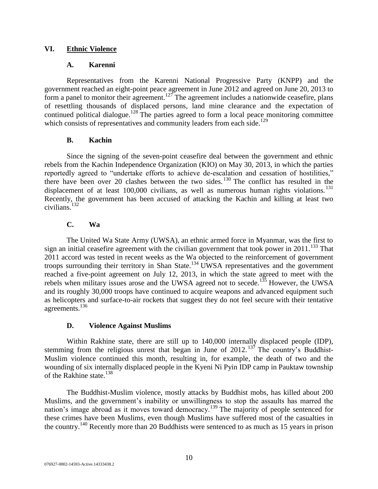## <span id="page-9-1"></span><span id="page-9-0"></span>**VI. Ethnic Violence**

## **A. Karenni**

Representatives from the Karenni National Progressive Party (KNPP) and the government reached an eight-point peace agreement in June 2012 and agreed on June 20, 2013 to form a panel to monitor their agreement.<sup>127</sup> The agreement includes a nationwide ceasefire, plans of resettling thousands of displaced persons, land mine clearance and the expectation of continued political dialogue.<sup>128</sup> The parties agreed to form a local peace monitoring committee which consists of representatives and community leaders from each side.<sup>129</sup>

## **B. Kachin**

<span id="page-9-2"></span>Since the signing of the seven-point ceasefire deal between the government and ethnic rebels from the Kachin Independence Organization (KIO) on May 30, 2013, in which the parties reportedly agreed to "undertake efforts to achieve de-escalation and cessation of hostilities," there have been over 20 clashes between the two sides.<sup>130</sup> The conflict has resulted in the displacement of at least  $100,000$  civilians, as well as numerous human rights violations.<sup>131</sup> Recently, the government has been accused of attacking the Kachin and killing at least two civilians.<sup>132</sup>

# **C. Wa**

<span id="page-9-3"></span>The United Wa State Army (UWSA), an ethnic armed force in Myanmar, was the first to sign an initial ceasefire agreement with the civilian government that took power in  $2011$ .<sup>133</sup> That 2011 accord was tested in recent weeks as the Wa objected to the reinforcement of government troops surrounding their territory in Shan State.<sup>134</sup> UWSA representatives and the government reached a five-point agreement on July 12, 2013, in which the state agreed to meet with the rebels when military issues arose and the UWSA agreed not to secede.<sup>135</sup> However, the UWSA and its roughly 30,000 troops have continued to acquire weapons and advanced equipment such as helicopters and surface-to-air rockets that suggest they do not feel secure with their tentative agreements.<sup>136</sup>

## **D. Violence Against Muslims**

<span id="page-9-4"></span>Within Rakhine state, there are still up to 140,000 internally displaced people (IDP), stemming from the religious unrest that began in June of  $2012$ . <sup>137</sup> The country's Buddhist-Muslim violence continued this month, resulting in, for example, the death of two and the wounding of six internally displaced people in the Kyeni Ni Pyin IDP camp in Pauktaw township of the Rakhine state.<sup>138</sup>

The Buddhist-Muslim violence, mostly attacks by Buddhist mobs, has killed about 200 Muslims, and the government's inability or unwillingness to stop the assaults has marred the nation's image abroad as it moves toward democracy.<sup>139</sup> The majority of people sentenced for these crimes have been Muslims, even though Muslims have suffered most of the casualties in the country.<sup>140</sup> Recently more than 20 Buddhists were sentenced to as much as 15 years in prison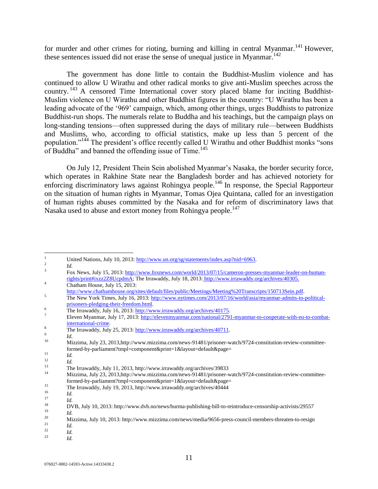for murder and other crimes for rioting, burning and killing in central Myanmar.<sup>141</sup> However, these sentences issued did not erase the sense of unequal justice in Myanmar.<sup>142</sup>

The government has done little to contain the Buddhist-Muslim violence and has continued to allow U Wirathu and other radical monks to give anti-Muslim speeches across the country. <sup>143</sup> A censored Time International cover story placed blame for inciting Buddhist-Muslim violence on U Wirathu and other Buddhist figures in the country: "U Wirathu has been a leading advocate of the '969' campaign, which, among other things, urges Buddhists to patronize Buddhist-run shops. The numerals relate to Buddha and his teachings, but the campaign plays on long-standing tensions—often suppressed during the days of military rule—between Buddhists and Muslims, who, according to official statistics, make up less than 5 percent of the population."<sup>144</sup> The president's office recently called U Wirathu and other Buddhist monks "sons of Buddha" and banned the offending issue of Time.<sup>145</sup>

On July 12, President Thein Sein abolished Myanmar's Nasaka, the border security force, which operates in Rakhine State near the Bangladesh border and has achieved notoriety for enforcing discriminatory laws against Rohingya people.<sup>146</sup> In response, the Special Rapporteur on the situation of human rights in Myanmar, Tomas Ojea Quintana, called for an investigation of human rights abuses committed by the Nasaka and for reform of discriminatory laws that Nasaka used to abuse and extort money from Rohingya people.<sup>147</sup>

<sup>23</sup> *Id.*

 $\mathbf{1}$ United Nations, July 10, 2013[: http://www.un.org/sg/statements/index.asp?nid=6963.](http://www.un.org/sg/statements/index.asp?nid=6963)

<sup>2</sup> *Id.*

<sup>3</sup> Fox News, July 15, 2013[: http://www.foxnews.com/world/2013/07/15/cameron-presses-myanmar-leader-on-human](http://www.foxnews.com/world/2013/07/15/cameron-presses-myanmar-leader-on-human-rights/print#ixzz2Z8UcpdmA)[rights/print#ixzz2Z8UcpdmA;](http://www.foxnews.com/world/2013/07/15/cameron-presses-myanmar-leader-on-human-rights/print#ixzz2Z8UcpdmA) The Irrawaddy, July 18, 2013: [http://www.irrawaddy.org/archives/40305.](http://www.irrawaddy.org/archives/40305)

 $\frac{4}{\text{Chatham House, July 15, 2013}}$ 

[http://www.chathamhouse.org/sites/default/files/public/Meetings/Meeting%20Transcripts/150713Sein.pdf.](http://www.chathamhouse.org/sites/default/files/public/Meetings/Meeting%20Transcripts/150713Sein.pdf)

<sup>&</sup>lt;sup>5</sup> The New York Times, July 16, 2013[: http://www.nytimes.com/2013/07/16/world/asia/myanmar-admits-to-political](http://www.nytimes.com/2013/07/16/world/asia/myanmar-admits-to-political-prisoners-pledging-their-freedom.html)[prisoners-pledging-their-freedom.html.](http://www.nytimes.com/2013/07/16/world/asia/myanmar-admits-to-political-prisoners-pledging-their-freedom.html)

<sup>&</sup>lt;sup>6</sup> The Irrawaddy, July 16, 2013: [http://www.irrawaddy.org/archives/40175.](http://www.irrawaddy.org/archives/40175)

<sup>7</sup> Eleven Myanmar, July 17, 2013: [http://elevenmyanmar.com/national/2791-myanmar-to-cooperate-with-eu-to-combat](http://elevenmyanmar.com/national/2791-myanmar-to-cooperate-with-eu-to-combat-international-crime)[international-crime.](http://elevenmyanmar.com/national/2791-myanmar-to-cooperate-with-eu-to-combat-international-crime)

<sup>8</sup> The Irrawaddy, July 25, 2013: [http://www.irrawaddy.org/archives/40711.](http://www.irrawaddy.org/archives/40711) *Id.*

<sup>9</sup>

<sup>10</sup> Mizzima, July 23, 2013,http://www.mizzima.com/news-91481/prisoner-watch/9724-constitution-review-committeeformed-by-parliament?tmpl=component&print=1&layout=default&page=

 $\frac{11}{12}$  *Id.* 

 $\frac{12}{13}$  *Id.* 

<sup>&</sup>lt;sup>13</sup> The Irrawaddy, July 11, 2013, http://www.irrawaddy.org/archives/39833<br><sup>14</sup> Mirriges, July 22, 2013 kttp://www.irriges.com/archives/31491/arizon.com

<sup>14</sup> Mizzima, July 23, 2013,http://www.mizzima.com/news-91481/prisoner-watch/9724-constitution-review-committeeformed-by-parliament?tmpl=component&print=1&layout=default&page=

<sup>&</sup>lt;sup>15</sup> The Irrawaddy, July 19, 2013, http://www.irrawaddy.org/archives/40444

 $\frac{16}{17}$  *Id.* 

 $\frac{17}{18}$  *Id.* 

<sup>&</sup>lt;sup>18</sup> DVB, July 10, 2013: http://www.dvb.no/news/burma-publishing-bill-to-reintroduce-censorship-activists/29557<br><sup>19</sup>

 $\frac{19}{20}$  *Id.* 

<sup>&</sup>lt;sup>20</sup> Mizzima, July 10, 2013: http://www.mizzima.com/news/media/9656-press-council-members-threaten-to-resign  $\frac{21}{10}$ 

 $\frac{21}{22}$  *Id.* 

 $\frac{22}{23}$  *Id.*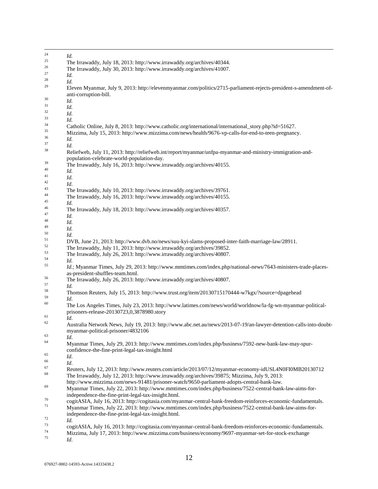| 24       | Id.                                                                                                                                                                                                  |
|----------|------------------------------------------------------------------------------------------------------------------------------------------------------------------------------------------------------|
| 25       | The Irrawaddy, July 18, 2013: http://www.irrawaddy.org/archives/40344.                                                                                                                               |
| 26       | The Irrawaddy, July 30, 2013: http://www.irrawaddy.org/archives/41007.                                                                                                                               |
| 27       | Id.                                                                                                                                                                                                  |
| 28       | Id.                                                                                                                                                                                                  |
| 29       | Eleven Myanmar, July 9, 2013: http://elevenmyanmar.com/politics/2715-parliament-rejects-president-s-amendment-of-                                                                                    |
| 30       | anti-corruption-bill.                                                                                                                                                                                |
| 31       | Id.                                                                                                                                                                                                  |
| 32       | Id.                                                                                                                                                                                                  |
| 33       | Id.                                                                                                                                                                                                  |
|          | Id.                                                                                                                                                                                                  |
| 34       | Catholic Online, July 8, 2013: http://www.catholic.org/international/international_story.php?id=51627.                                                                                               |
| 35       | Mizzima, July 15, 2013: http://www.mizzima.com/news/health/9676-vp-calls-for-end-to-teen-pregnancy.                                                                                                  |
| 36       | Id.                                                                                                                                                                                                  |
| 37       | Id.                                                                                                                                                                                                  |
| 38       | Reliefweb, July 11, 2013: http://reliefweb.int/report/myanmar/unfpa-myanmar-and-ministry-immigration-and-<br>population-celebrate-world-population-day.                                              |
| 39       | The Irrawaddy, July 16, 2013: http://www.irrawaddy.org/archives/40155.                                                                                                                               |
| 40       | Id.                                                                                                                                                                                                  |
| 41       | Id.                                                                                                                                                                                                  |
| 42       |                                                                                                                                                                                                      |
| 43       | Id.                                                                                                                                                                                                  |
| 44       | The Irrawaddy, July 10, 2013: http://www.irrawaddy.org/archives/39761.                                                                                                                               |
| 45       | The Irrawaddy, July 16, 2013: http://www.irrawaddy.org/archives/40155.                                                                                                                               |
| 46       | Id.                                                                                                                                                                                                  |
| 47       | The Irrawaddy, July 18, 2013: http://www.irrawaddy.org/archives/40357.                                                                                                                               |
|          | Id.                                                                                                                                                                                                  |
| 48       | Id.                                                                                                                                                                                                  |
| 49       | Id.                                                                                                                                                                                                  |
| 50       | Id.                                                                                                                                                                                                  |
| 51       | DVB, June 21, 2013: http://www.dvb.no/news/suu-kyi-slams-proposed-inter-faith-marriage-law/28911.                                                                                                    |
| 52       | The Irrawaddy, July 11, 2013: http://www.irrawaddy.org/archives/39852.                                                                                                                               |
| 53       | The Irrawaddy, July 26, 2013: http://www.irrawaddy.org/archives/40807.                                                                                                                               |
| 54       | Id.                                                                                                                                                                                                  |
| 55       | Id.; Myanmar Times, July 29, 2013: http://www.mmtimes.com/index.php/national-news/7643-ministers-trade-places-<br>as-president-shuffles-team.html.                                                   |
| 56       | The Irrawaddy, July 26, 2013: http://www.irrawaddy.org/archives/40807.                                                                                                                               |
| 57       | Id.                                                                                                                                                                                                  |
| 58       | Thomson Reuters, July 15, 2013: http://www.trust.org/item/20130715170444-w7kgx/?source=dpagehead                                                                                                     |
| 59<br>60 | Id.                                                                                                                                                                                                  |
|          | The Los Angeles Times, July 23, 2013: http://www.latimes.com/news/world/worldnow/la-fg-wn-myanmar-political-<br>prisoners-release-20130723,0,3878980.story                                           |
| 61       | Id.                                                                                                                                                                                                  |
| 62       | Australia Network News, July 19, 2013: http://www.abc.net.au/news/2013-07-19/an-lawyer-detention-calls-into-doubt-<br>myanmar-political-prisoner/4832106                                             |
| 63       | Id.                                                                                                                                                                                                  |
| 64       | Myanmar Times, July 29, 2013: http://www.mmtimes.com/index.php/business/7592-new-bank-law-may-spur-                                                                                                  |
| 65       | confidence-the-fine-print-legal-tax-insight.html<br>Id.                                                                                                                                              |
| 66       |                                                                                                                                                                                                      |
| 67       | Id.                                                                                                                                                                                                  |
| 68       | Reuters, July 12, 2013: http://www.reuters.com/article/2013/07/12/myanmar-economy-idUSL4N0FI0MB20130712                                                                                              |
|          | The Irrawaddy, July 12, 2013: http://www.irrawaddy.org/archives/39875; Mizzima, July 9, 2013:                                                                                                        |
| 69       | http://www.mizzima.com/news-91481/prisoner-watch/9650-parliament-adopts-central-bank-law.<br>Myanmar Times, July 22, 2013: http://www.mmtimes.com/index.php/business/7522-central-bank-law-aims-for- |
|          | independence-the-fine-print-legal-tax-insight.html.                                                                                                                                                  |
| 70       | cogitASIA, July 16, 2013: http://cogitasia.com/myanmar-central-bank-freedom-reinforces-economic-fundamentals.                                                                                        |
| 71       | Myanmar Times, July 22, 2013: http://www.mmtimes.com/index.php/business/7522-central-bank-law-aims-for-                                                                                              |
|          | independence-the-fine-print-legal-tax-insight.html.                                                                                                                                                  |
| 72       | Id.                                                                                                                                                                                                  |
| 73       | cogitASIA, July 16, 2013: http://cogitasia.com/myanmar-central-bank-freedom-reinforces-economic-fundamentals.                                                                                        |
| 74       | Mizzima, July 17, 2013: http://www.mizzima.com/business/economy/9697-myanmar-set-for-stock-exchange                                                                                                  |
| 75       | Id.                                                                                                                                                                                                  |

 $\overline{a}$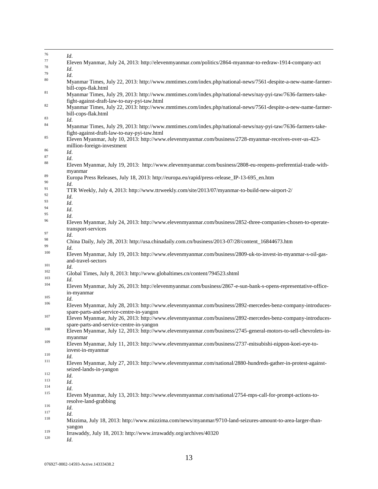| 76         | Id.                                                                                                                                                                                  |
|------------|--------------------------------------------------------------------------------------------------------------------------------------------------------------------------------------|
| 77         | Eleven Myanmar, July 24, 2013: http://elevenmyanmar.com/politics/2864-myanmar-to-redraw-1914-company-act                                                                             |
| 78         | Id.                                                                                                                                                                                  |
| 79         | Id.                                                                                                                                                                                  |
| 80         | Myanmar Times, July 22, 2013: http://www.mmtimes.com/index.php/national-news/7561-despite-a-new-name-farmer-                                                                         |
| 81         | bill-cops-flak.html<br>Myanmar Times, July 29, 2013: http://www.mmtimes.com/index.php/national-news/nay-pyi-taw/7636-farmers-take-                                                   |
| 82         | fight-against-draft-law-to-nay-pyi-taw.html<br>Myanmar Times, July 22, 2013: http://www.mmtimes.com/index.php/national-news/7561-despite-a-new-name-farmer-                          |
| 83         | bill-cops-flak.html                                                                                                                                                                  |
| 84         | Id.<br>Myanmar Times, July 29, 2013: http://www.mmtimes.com/index.php/national-news/nay-pyi-taw/7636-farmers-take-                                                                   |
| 85         | fight-against-draft-law-to-nay-pyi-taw.html<br>Eleven Myanmar, July 10, 2013: http://www.elevenmyanmar.com/business/2728-myanmar-receives-over-us-423-<br>million-foreign-investment |
| 86         | Id.                                                                                                                                                                                  |
| 87         | Id.                                                                                                                                                                                  |
| 88         | Eleven Myanmar, July 19, 2013: http://www.elevenmyanmar.com/business/2808-eu-reopens-preferential-trade-with-<br>myanmar                                                             |
| 89<br>90   | Europa Press Releases, July 18, 2013: http://europa.eu/rapid/press-release_IP-13-695_en.htm                                                                                          |
| 91         | Id.                                                                                                                                                                                  |
| 92         | TTR Weekly, July 4, 2013: http://www.ttrweekly.com/site/2013/07/myanmar-to-build-new-airport-2/                                                                                      |
| 93         | Id.                                                                                                                                                                                  |
| 94         | Id.                                                                                                                                                                                  |
| 95         | Id.                                                                                                                                                                                  |
| 96         | Id.                                                                                                                                                                                  |
|            | Eleven Myanmar, July 24, 2013: http://www.elevenmyanmar.com/business/2852-three-companies-chosen-to-operate-<br>transport-services                                                   |
| 97         | Id.                                                                                                                                                                                  |
| 98         | China Daily, July 28, 2013: http://usa.chinadaily.com.cn/business/2013-07/28/content_16844673.htm                                                                                    |
| 99         | Id.                                                                                                                                                                                  |
| 100        | Eleven Myanmar, July 19, 2013: http://www.elevenmyanmar.com/business/2809-uk-to-invest-in-myanmar-s-oil-gas-<br>and-travel-sectors                                                   |
| 101        | Id.                                                                                                                                                                                  |
| 102        | Global Times, July 8, 2013: http://www.globaltimes.cn/content/794523.shtml                                                                                                           |
| 103<br>104 | Id.<br>Eleven Myanmar, July 26, 2013: http://elevenmyanmar.com/business/2867-e-sun-bank-s-opens-representative-office-                                                               |
| 105        | in-myanmar                                                                                                                                                                           |
| 106        | Id.                                                                                                                                                                                  |
|            | Eleven Myanmar, July 28, 2013: http://www.elevenmyanmar.com/business/2892-mercedes-benz-company-introduces-<br>spare-parts-and-service-centre-in-yangon                              |
| 107        | Eleven Myanmar, July 26, 2013: http://www.elevenmyanmar.com/business/2892-mercedes-benz-company-introduces-<br>spare-parts-and-service-centre-in-yangon                              |
| 108        | Eleven Myanmar, July 12, 2013: http://www.elevenmyanmar.com/business/2745-general-motors-to-sell-chevrolets-in-<br>myanmar                                                           |
| 109        | Eleven Myanmar, July 11, 2013: http://www.elevenmyanmar.com/business/2737-mitsubishi-nippon-koei-eye-to-<br>invest-in-myanmar                                                        |
| 110        | Id.                                                                                                                                                                                  |
| 111        | Eleven Myanmar, July 27, 2013: http://www.elevenmyanmar.com/national/2880-hundreds-gather-in-protest-against-                                                                        |
| 112        | seized-lands-in-yangon<br>Id.                                                                                                                                                        |
| 113        | Id.                                                                                                                                                                                  |
| 114        | Id.                                                                                                                                                                                  |
| 115        | Eleven Myanmar, July 13, 2013: http://www.elevenmyanmar.com/national/2754-mps-call-for-prompt-actions-to-<br>resolve-land-grabbing                                                   |
| 116        | Id.                                                                                                                                                                                  |
| 117        | Id.                                                                                                                                                                                  |
| 118        | Mizzima, July 18, 2013: http://www.mizzima.com/news/myanmar/9710-land-seizures-amount-to-area-larger-than-                                                                           |
| 119        | yangon                                                                                                                                                                               |
| 120        | Irrawaddy, July 18, 2013: http://www.irrawaddy.org/archives/40320<br>Id.                                                                                                             |